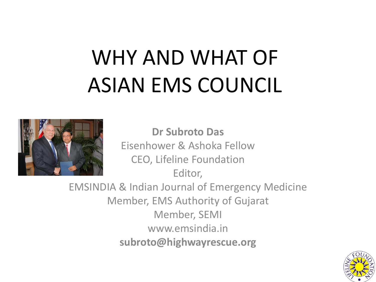# WHY AND WHAT OF ASIAN EMS COUNCIL



**Dr Subroto Das** Eisenhower & Ashoka Fellow CEO, Lifeline Foundation Editor,

EMSINDIA & Indian Journal of Emergency Medicine Member, EMS Authority of Gujarat Member, SEMI www.emsindia.in **subroto@highwayrescue.org**

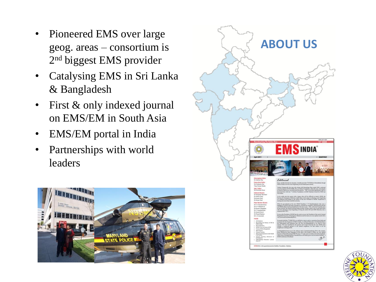- Pioneered EMS over large geog. areas – consortium is 2 nd biggest EMS provider
- Catalysing EMS in Sri Lanka & Bangladesh
- First & only indexed journal on EMS/EM in South Asia
- EMS/EM portal in India
- Partnerships with world leaders





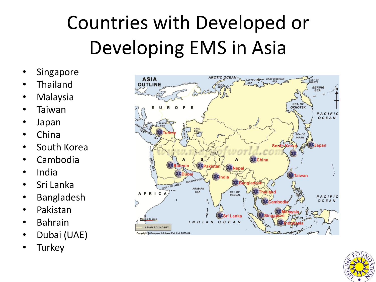### Countries with Developed or Developing EMS in Asia

- **Singapore**
- **Thailand**
- **Malaysia**
- Taiwan
- Japan
- China
- South Korea
- Cambodia
- India
- Sri Lanka
- Bangladesh
- Pakistan
- Bahrain
- Dubai (UAE)
- Turkey



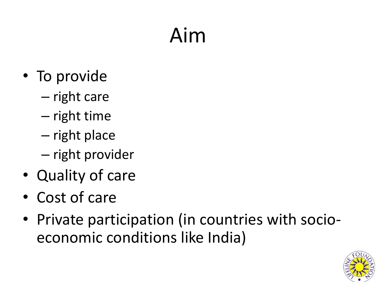## Aim

- To provide
	- right care
	- right time
	- right place
	- right provider
- Quality of care
- Cost of care
- Private participation (in countries with socioeconomic conditions like India)

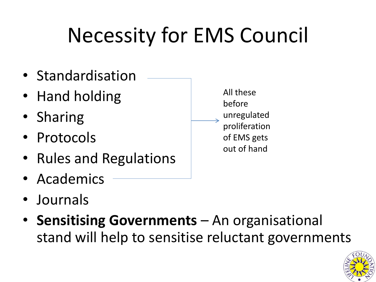## Necessity for EMS Council



- Journals
- **Sensitising Governments**  An organisational stand will help to sensitise reluctant governments

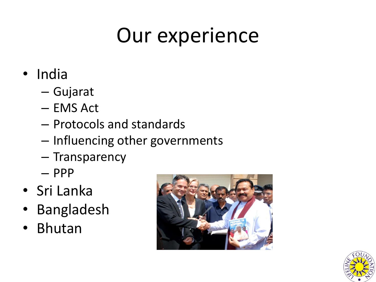### Our experience

- India
	- Gujarat
	- EMS Act
	- Protocols and standards
	- Influencing other governments
	- Transparency
	- PPP
- Sri Lanka
- Bangladesh
- Bhutan



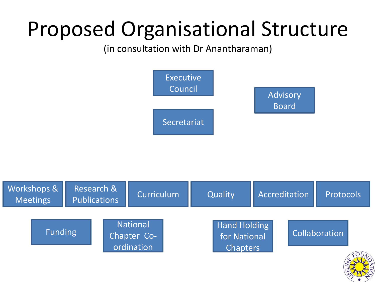### Proposed Organisational Structure

(in consultation with Dr Anantharaman)



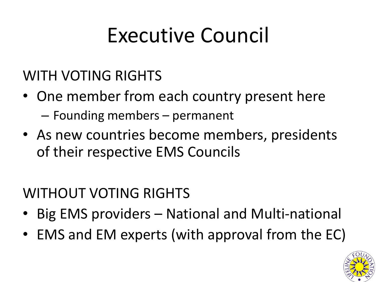#### Executive Council

#### WITH VOTING RIGHTS

- One member from each country present here – Founding members – permanent
- As new countries become members, presidents of their respective EMS Councils

#### WITHOUT VOTING RIGHTS

- Big EMS providers National and Multi-national
- EMS and EM experts (with approval from the EC)

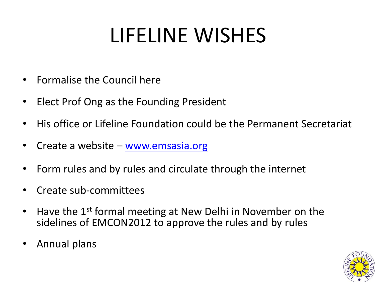## LIFELINE WISHES

- Formalise the Council here
- Elect Prof Ong as the Founding President
- His office or Lifeline Foundation could be the Permanent Secretariat
- Create a website [www.emsasia.org](http://www.emsasia.org/)
- Form rules and by rules and circulate through the internet
- Create sub-committees
- Have the 1<sup>st</sup> formal meeting at New Delhi in November on the sidelines of EMCON2012 to approve the rules and by rules
- Annual plans